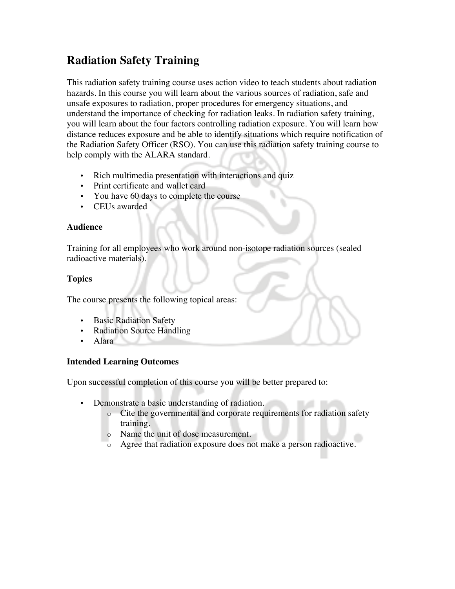# **Radiation Safety Training**

This radiation safety training course uses action video to teach students about radiation hazards. In this course you will learn about the various sources of radiation, safe and unsafe exposures to radiation, proper procedures for emergency situations, and understand the importance of checking for radiation leaks. In radiation safety training, you will learn about the four factors controlling radiation exposure. You will learn how distance reduces exposure and be able to identify situations which require notification of the Radiation Safety Officer (RSO). You can use this radiation safety training course to help comply with the ALARA standard.

- Rich multimedia presentation with interactions and quiz
- Print certificate and wallet card
- You have 60 days to complete the course
- CEUs awarded

#### **Audience**

Training for all employees who work around non-isotope radiation sources (sealed radioactive materials).

## **Topics**

The course presents the following topical areas:

- Basic Radiation Safety
- Radiation Source Handling
- Alara

## **Intended Learning Outcomes**

Upon successful completion of this course you will be better prepared to:

- Demonstrate a basic understanding of radiation.
	- o Cite the governmental and corporate requirements for radiation safety training.
	- o Name the unit of dose measurement.
	- o Agree that radiation exposure does not make a person radioactive.